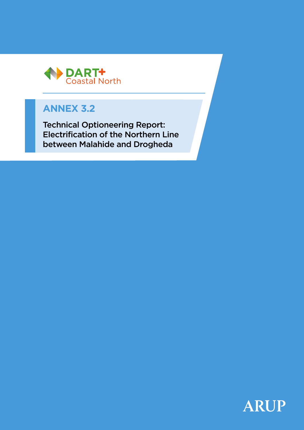

# **ANNEX 3.2**

Technical Optioneering Report: Electrification of the Northern Line between Malahide and Drogheda

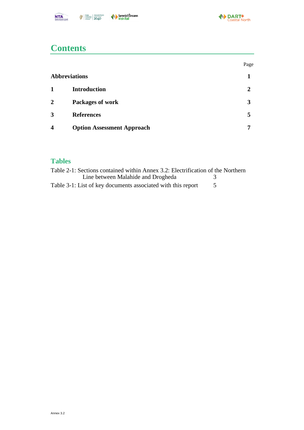

## **Contents**

|                         |                                   | Page |
|-------------------------|-----------------------------------|------|
|                         | <b>Abbreviations</b>              |      |
| $\mathbf{1}$            | <b>Introduction</b>               |      |
| $\overline{2}$          | <b>Packages of work</b>           |      |
| 3                       | <b>References</b>                 | 5    |
| $\overline{\mathbf{4}}$ | <b>Option Assessment Approach</b> |      |

#### **Tables**

| Table 2-1: Sections contained within Annex 3.2: Electrification of the Northern |  |
|---------------------------------------------------------------------------------|--|
| Line between Malahide and Drogheda                                              |  |
| Table 3-1: List of key documents associated with this report                    |  |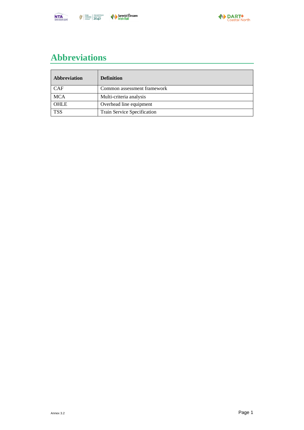



# <span id="page-2-0"></span>**Abbreviations**

| Abbreviation | <b>Definition</b>           |
|--------------|-----------------------------|
| <b>CAF</b>   | Common assessment framework |
| <b>MCA</b>   | Multi-criteria analysis     |
| <b>OHLE</b>  | Overhead line equipment     |
| <b>TSS</b>   | Train Service Specification |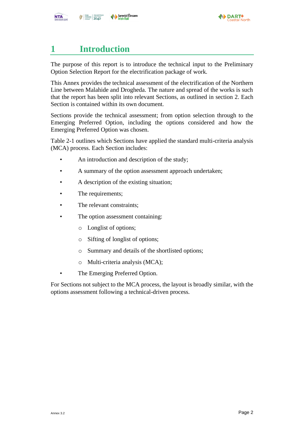

### <span id="page-3-0"></span>**1 Introduction**

The purpose of this report is to introduce the technical input to the Preliminary Option Selection Report for the electrification package of work.

This Annex provides the technical assessment of the electrification of the Northern Line between Malahide and Drogheda. The nature and spread of the works is such that the report has been split into relevant Sections, as outlined in section [2.](#page-4-0) Each Section is contained within its own document.

Sections provide the technical assessment; from option selection through to the Emerging Preferred Option, including the options considered and how the Emerging Preferred Option was chosen.

[Table 2-1](#page-4-1) outlines which Sections have applied the standard multi-criteria analysis (MCA) process. Each Section includes:

- An introduction and description of the study;
- A summary of the option assessment approach undertaken;
- A description of the existing situation:
- The requirements;
- The relevant constraints:
- The option assessment containing:
	- o Longlist of options;
	- o Sifting of longlist of options;
	- o Summary and details of the shortlisted options;
	- o Multi-criteria analysis (MCA);
- The Emerging Preferred Option.

For Sections not subject to the MCA process, the layout is broadly similar, with the options assessment following a technical-driven process.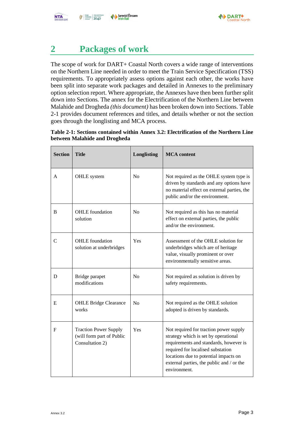

#### <span id="page-4-0"></span>**2 Packages of work**

The scope of work for DART+ Coastal North covers a wide range of interventions on the Northern Line needed in order to meet the Train Service Specification (TSS) requirements. To appropriately assess options against each other, the works have been split into separate work packages and detailed in Annexes to the preliminary option selection report. Where appropriate, the Annexes have then been further split down into Sections. The annex for the Electrification of the Northern Line between Malahide and Drogheda *(this document)* has been broken down into Sections[. Table](#page-4-1)  [2-1](#page-4-1) provides document references and titles, and details whether or not the section goes through the longlisting and MCA process.

<span id="page-4-1"></span>

| Table 2-1: Sections contained within Annex 3.2: Electrification of the Northern Line |  |  |
|--------------------------------------------------------------------------------------|--|--|
| between Malahide and Drogheda                                                        |  |  |

| <b>Section</b> | <b>Title</b>                                                                 | Longlisting    | <b>MCA</b> content                                                                                                                                                                                                                                                  |
|----------------|------------------------------------------------------------------------------|----------------|---------------------------------------------------------------------------------------------------------------------------------------------------------------------------------------------------------------------------------------------------------------------|
| A              | OHLE system                                                                  | No             | Not required as the OHLE system type is<br>driven by standards and any options have<br>no material effect on external parties, the<br>public and/or the environment.                                                                                                |
| B              | <b>OHLE</b> foundation<br>solution                                           | N <sub>0</sub> | Not required as this has no material<br>effect on external parties, the public<br>and/or the environment.                                                                                                                                                           |
| $\mathbf C$    | <b>OHLE</b> foundation<br>solution at underbridges                           | Yes            | Assessment of the OHLE solution for<br>underbridges which are of heritage<br>value, visually prominent or over<br>environmentally sensitive areas.                                                                                                                  |
| D              | Bridge parapet<br>modifications                                              | N <sub>0</sub> | Not required as solution is driven by<br>safety requirements.                                                                                                                                                                                                       |
| E              | <b>OHLE Bridge Clearance</b><br>works                                        | N <sub>0</sub> | Not required as the OHLE solution<br>adopted is driven by standards.                                                                                                                                                                                                |
| $\mathbf{F}$   | <b>Traction Power Supply</b><br>(will form part of Public<br>Consultation 2) | Yes            | Not required for traction power supply<br>strategy which is set by operational<br>requirements and standards, however is<br>required for localised substation<br>locations due to potential impacts on<br>external parties, the public and / or the<br>environment. |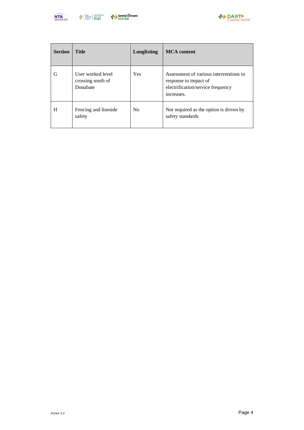



| <b>Section</b> | <b>Title</b>                                       | <b>Longlisting</b> | <b>MCA</b> content                                                                                                 |
|----------------|----------------------------------------------------|--------------------|--------------------------------------------------------------------------------------------------------------------|
| G              | User worked level<br>crossing south of<br>Donabate | Yes                | Assessment of various interventions in<br>response to impact of<br>electrification/service frequency<br>increases. |
| H              | Fencing and lineside<br>safety                     | N <sub>0</sub>     | Not required as the option is driven by<br>safety standards                                                        |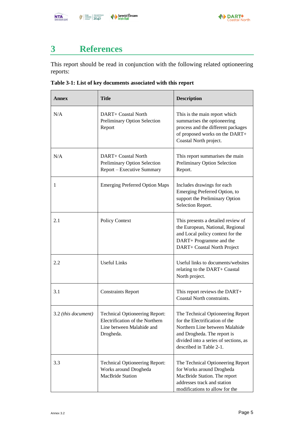

# <span id="page-6-0"></span>**3 References**

This report should be read in conjunction with the following related optioneering reports:

<span id="page-6-1"></span>**Table 3-1: List of key documents associated with this report**

| <b>Annex</b>        | <b>Title</b>                                                                                                       | <b>Description</b>                                                                                                                                                                                       |
|---------------------|--------------------------------------------------------------------------------------------------------------------|----------------------------------------------------------------------------------------------------------------------------------------------------------------------------------------------------------|
| N/A                 | DART+ Coastal North<br>Preliminary Option Selection<br>Report                                                      | This is the main report which<br>summarises the optioneering<br>process and the different packages<br>of proposed works on the DART+<br>Coastal North project.                                           |
| N/A                 | DART+ Coastal North<br>Preliminary Option Selection<br>Report – Executive Summary                                  | This report summarises the main<br><b>Preliminary Option Selection</b><br>Report.                                                                                                                        |
| 1                   | <b>Emerging Preferred Option Maps</b>                                                                              | Includes drawings for each<br>Emerging Preferred Option, to<br>support the Preliminary Option<br>Selection Report.                                                                                       |
| 2.1                 | Policy Context                                                                                                     | This presents a detailed review of<br>the European, National, Regional<br>and Local policy context for the<br>DART+ Programme and the<br>DART+ Coastal North Project                                     |
| 2.2                 | <b>Useful Links</b>                                                                                                | Useful links to documents/websites<br>relating to the DART+ Coastal<br>North project.                                                                                                                    |
| 3.1                 | <b>Constraints Report</b>                                                                                          | This report reviews the DART+<br>Coastal North constraints.                                                                                                                                              |
| 3.2 (this document) | <b>Technical Optioneering Report:</b><br>Electrification of the Northern<br>Line between Malahide and<br>Drogheda. | The Technical Optioneering Report<br>for the Electrification of the<br>Northern Line between Malahide<br>and Drogheda. The report is<br>divided into a series of sections, as<br>described in Table 2-1. |
| 3.3                 | <b>Technical Optioneering Report:</b><br>Works around Drogheda<br><b>MacBride Station</b>                          | The Technical Optioneering Report<br>for Works around Drogheda<br>MacBride Station. The report<br>addresses track and station<br>modifications to allow for the                                          |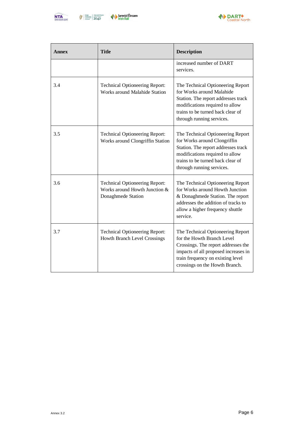



| Annex | <b>Title</b>                                                                                 | <b>Description</b>                                                                                                                                                                                                    |
|-------|----------------------------------------------------------------------------------------------|-----------------------------------------------------------------------------------------------------------------------------------------------------------------------------------------------------------------------|
|       |                                                                                              | increased number of DART<br>services.                                                                                                                                                                                 |
| 3.4   | <b>Technical Optioneering Report:</b><br>Works around Malahide Station                       | The Technical Optioneering Report<br>for Works around Malahide<br>Station. The report addresses track<br>modifications required to allow<br>trains to be turned back clear of<br>through running services.            |
| 3.5   | <b>Technical Optioneering Report:</b><br>Works around Clongriffin Station                    | The Technical Optioneering Report<br>for Works around Clongriffin<br>Station. The report addresses track<br>modifications required to allow<br>trains to be turned back clear of<br>through running services.         |
| 3.6   | <b>Technical Optioneering Report:</b><br>Works around Howth Junction &<br>Donaghmede Station | The Technical Optioneering Report<br>for Works around Howth Junction<br>& Donaghmede Station. The report<br>addresses the addition of tracks to<br>allow a higher frequency shuttle<br>service.                       |
| 3.7   | <b>Technical Optioneering Report:</b><br>Howth Branch Level Crossings                        | The Technical Optioneering Report<br>for the Howth Branch Level<br>Crossings. The report addresses the<br>impacts of all proposed increases in<br>train frequency on existing level<br>crossings on the Howth Branch. |